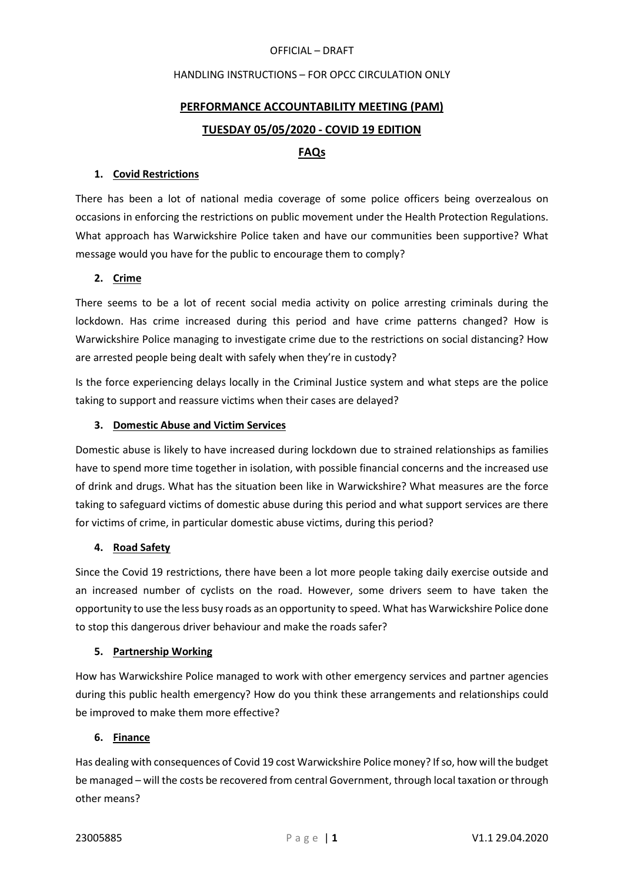#### OFFICIAL – DRAFT

#### HANDLING INSTRUCTIONS – FOR OPCC CIRCULATION ONLY

# PERFORMANCE ACCOUNTABILITY MEETING (PAM) TUESDAY 05/05/2020 - COVID 19 EDITION

# FAQs

### 1. Covid Restrictions

There has been a lot of national media coverage of some police officers being overzealous on occasions in enforcing the restrictions on public movement under the Health Protection Regulations. What approach has Warwickshire Police taken and have our communities been supportive? What message would you have for the public to encourage them to comply?

# 2. Crime

There seems to be a lot of recent social media activity on police arresting criminals during the lockdown. Has crime increased during this period and have crime patterns changed? How is Warwickshire Police managing to investigate crime due to the restrictions on social distancing? How are arrested people being dealt with safely when they're in custody?

Is the force experiencing delays locally in the Criminal Justice system and what steps are the police taking to support and reassure victims when their cases are delayed?

# 3. Domestic Abuse and Victim Services

Domestic abuse is likely to have increased during lockdown due to strained relationships as families have to spend more time together in isolation, with possible financial concerns and the increased use of drink and drugs. What has the situation been like in Warwickshire? What measures are the force taking to safeguard victims of domestic abuse during this period and what support services are there for victims of crime, in particular domestic abuse victims, during this period?

#### 4. Road Safety

Since the Covid 19 restrictions, there have been a lot more people taking daily exercise outside and an increased number of cyclists on the road. However, some drivers seem to have taken the opportunity to use the less busy roads as an opportunity to speed. What has Warwickshire Police done to stop this dangerous driver behaviour and make the roads safer?

#### 5. Partnership Working

How has Warwickshire Police managed to work with other emergency services and partner agencies during this public health emergency? How do you think these arrangements and relationships could be improved to make them more effective?

### 6. Finance

Has dealing with consequences of Covid 19 cost Warwickshire Police money? If so, how will the budget be managed – will the costs be recovered from central Government, through local taxation or through other means?